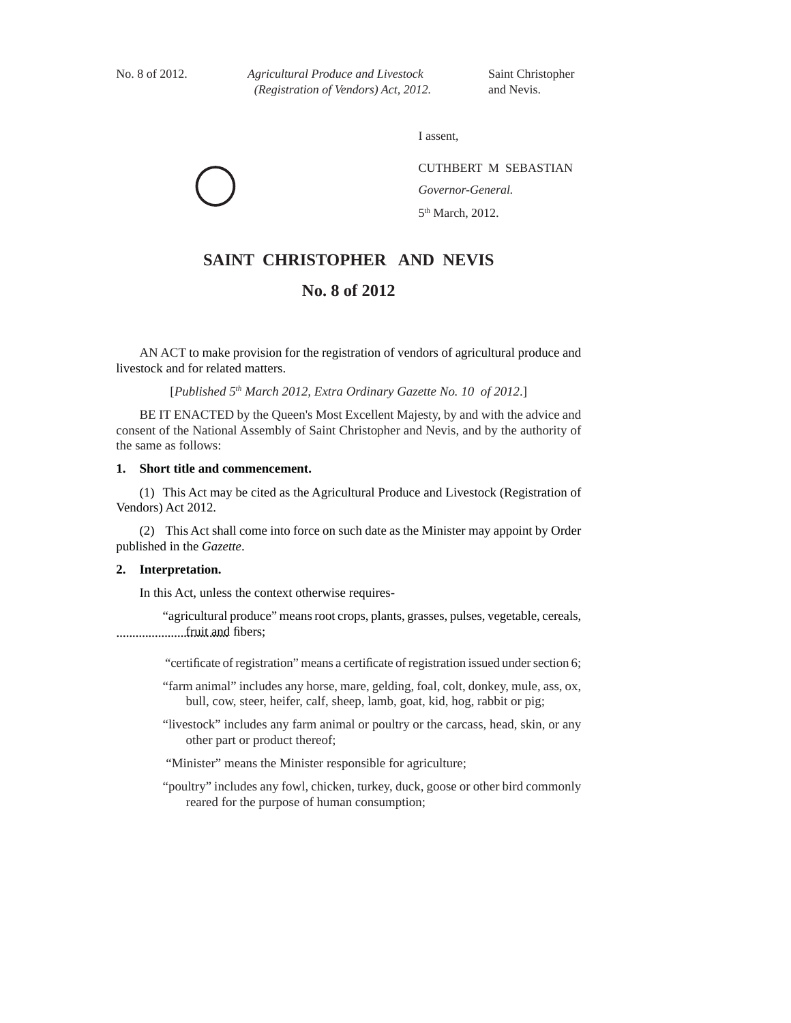*Agricultural Produce and Livestock (Registration of Vendors) Act, 2012 – 8.* No. 8 of 2012. *Agricultural Produce and Livestock* Saint Christopher *(Registration of Vendors) Act, 2012.* and Nevis.

I assent,

CUTHBERT M SEBASTIAN *Governor-General.* 5<sup>th</sup> March, 2012.

# **SAINT CHRISTOPHER AND NEVIS**

# **No. 8 of 2012**

AN ACT to make provision for the registration of vendors of agricultural produce and livestock and for related matters.

[*Published 5<sup>th</sup> March 2012, Extra Ordinary Gazette No. 10 of 2012.*]

BE IT ENACTED by the Queen's Most Excellent Majesty, by and with the advice and consent of the National Assembly of Saint Christopher and Nevis, and by the authority of the same as follows:

## **1. Short title and commencement.**

 (1) This Act may be cited as the Agricultural Produce and Livestock (Registration of Vendors) Act 2012.

(2) This Act shall come into force on such date as the Minister may appoint by Order published in the *Gazette*.

## **2. Interpretation.**

In this Act, unless the context otherwise requires-

................................... fruit and fi bers; "agricultural produce" means root crops, plants, grasses, pulses, vegetable, cereals,

"certificate of registration" means a certificate of registration issued under section 6;

- "farm animal" includes any horse, mare, gelding, foal, colt, donkey, mule, ass, ox, bull, cow, steer, heifer, calf, sheep, lamb, goat, kid, hog, rabbit or pig;
- "livestock" includes any farm animal or poultry or the carcass, head, skin, or any other part or product thereof;

"Minister" means the Minister responsible for agriculture;

"poultry" includes any fowl, chicken, turkey, duck, goose or other bird commonly reared for the purpose of human consumption;

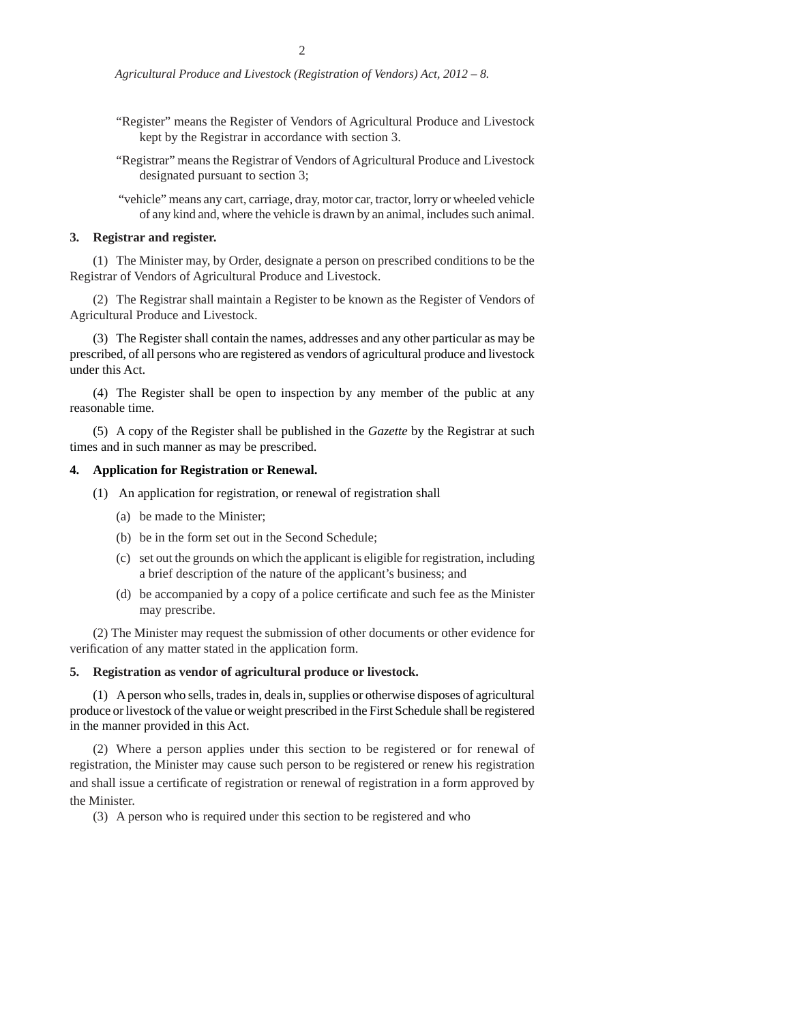- "Register" means the Register of Vendors of Agricultural Produce and Livestock kept by the Registrar in accordance with section 3.
- "Registrar" means the Registrar of Vendors of Agricultural Produce and Livestock designated pursuant to section 3;
- "vehicle" means any cart, carriage, dray, motor car, tractor, lorry or wheeled vehicle of any kind and, where the vehicle is drawn by an animal, includes such animal.

#### **3. Registrar and register.**

(1) The Minister may, by Order, designate a person on prescribed conditions to be the Registrar of Vendors of Agricultural Produce and Livestock.

(2) The Registrar shall maintain a Register to be known as the Register of Vendors of Agricultural Produce and Livestock.

(3) The Register shall contain the names, addresses and any other particular as may be prescribed, of all persons who are registered as vendors of agricultural produce and livestock under this Act.

(4) The Register shall be open to inspection by any member of the public at any reasonable time.

(5) A copy of the Register shall be published in the *Gazette* by the Registrar at such times and in such manner as may be prescribed.

### **4. Application for Registration or Renewal.**

- (1) An application for registration, or renewal of registration shall
	- (a) be made to the Minister;
	- (b) be in the form set out in the Second Schedule;
	- (c) set out the grounds on which the applicant is eligible for registration, including a brief description of the nature of the applicant's business; and
	- (d) be accompanied by a copy of a police certificate and such fee as the Minister may prescribe.

(2) The Minister may request the submission of other documents or other evidence for verification of any matter stated in the application form.

## **5. Registration as vendor of agricultural produce or livestock.**

(1) A person who sells, trades in, deals in, supplies or otherwise disposes of agricultural produce or livestock of the value or weight prescribed in the First Schedule shall be registered in the manner provided in this Act.

(2) Where a person applies under this section to be registered or for renewal of registration, the Minister may cause such person to be registered or renew his registration and shall issue a certificate of registration or renewal of registration in a form approved by the Minister.

(3) A person who is required under this section to be registered and who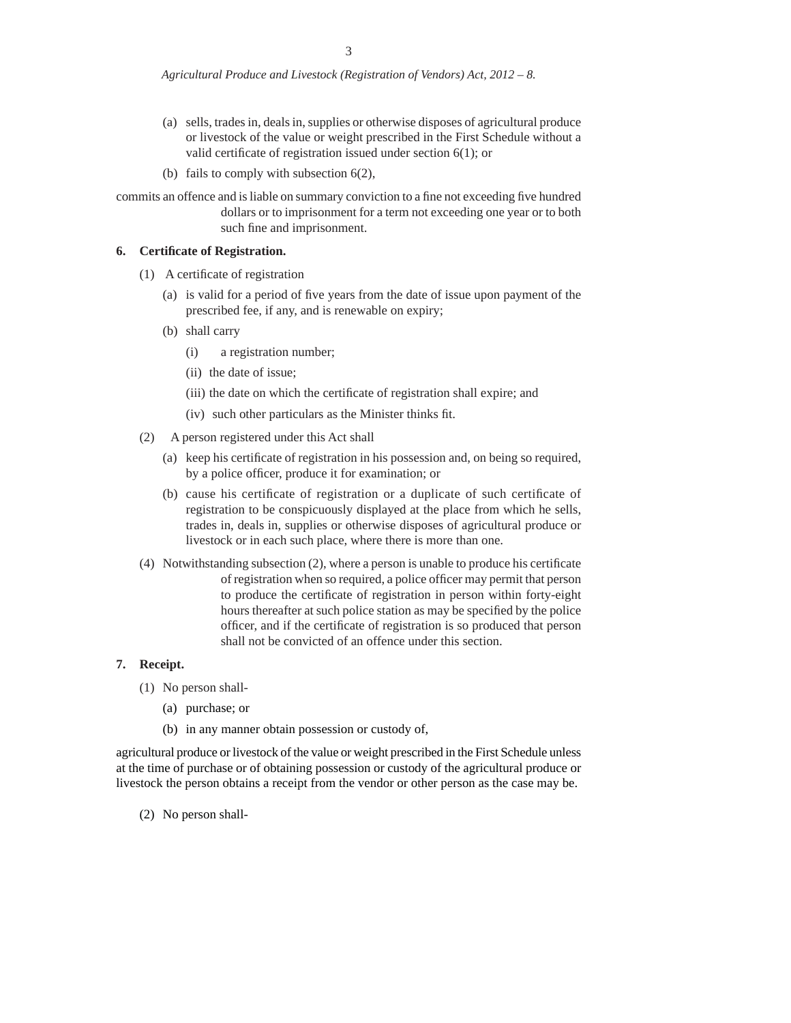- (a) sells, trades in, deals in, supplies or otherwise disposes of agricultural produce or livestock of the value or weight prescribed in the First Schedule without a valid certificate of registration issued under section  $6(1)$ ; or
- (b) fails to comply with subsection 6(2),

commits an offence and is liable on summary conviction to a fine not exceeding five hundred dollars or to imprisonment for a term not exceeding one year or to both such fine and imprisonment.

### **6. Certifi cate of Registration.**

- $(1)$  A certificate of registration
	- (a) is valid for a period of five years from the date of issue upon payment of the prescribed fee, if any, and is renewable on expiry;
	- (b) shall carry
		- (i) a registration number;
		- (ii) the date of issue;
		- (iii) the date on which the certificate of registration shall expire; and
		- (iv) such other particulars as the Minister thinks fit.
- (2) A person registered under this Act shall
	- (a) keep his certificate of registration in his possession and, on being so required, by a police officer, produce it for examination; or
	- (b) cause his certificate of registration or a duplicate of such certificate of registration to be conspicuously displayed at the place from which he sells, trades in, deals in, supplies or otherwise disposes of agricultural produce or livestock or in each such place, where there is more than one.
- (4) Notwithstanding subsection  $(2)$ , where a person is unable to produce his certificate of registration when so required, a police officer may permit that person to produce the certificate of registration in person within forty-eight hours thereafter at such police station as may be specified by the police officer, and if the certificate of registration is so produced that person shall not be convicted of an offence under this section.

## **7. Receipt.**

- (1) No person shall-
	- (a) purchase; or
	- (b) in any manner obtain possession or custody of,

agricultural produce or livestock of the value or weight prescribed in the First Schedule unless at the time of purchase or of obtaining possession or custody of the agricultural produce or livestock the person obtains a receipt from the vendor or other person as the case may be.

(2) No person shall-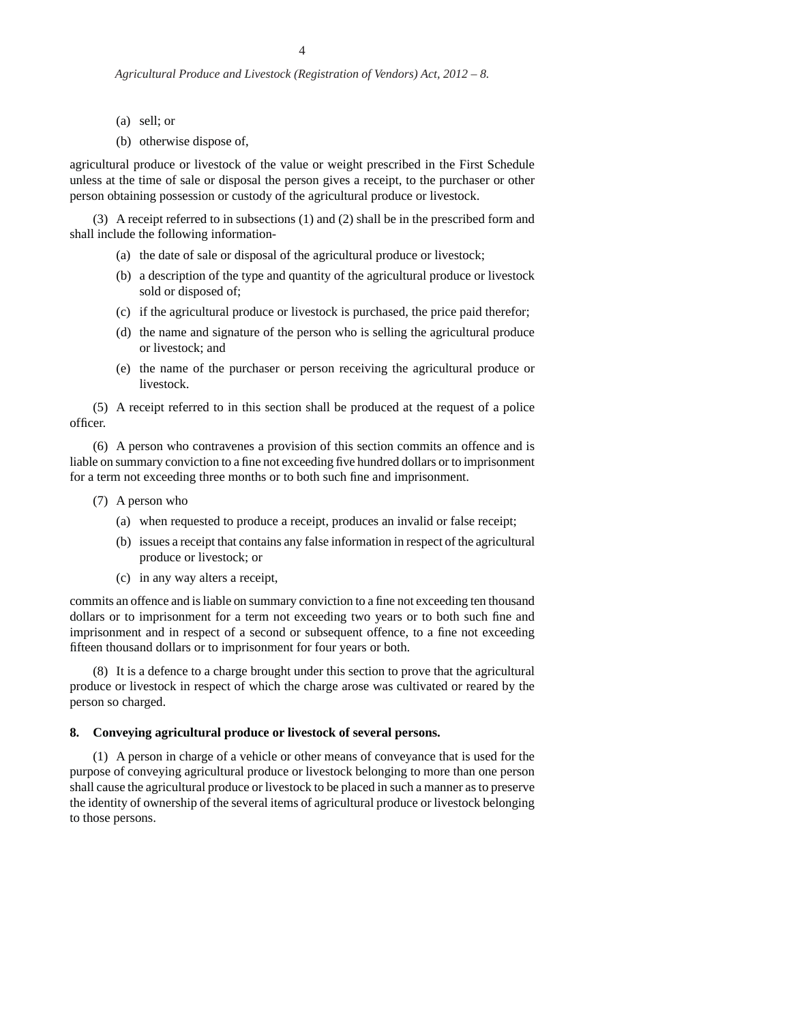- (a) sell; or
- (b) otherwise dispose of,

agricultural produce or livestock of the value or weight prescribed in the First Schedule unless at the time of sale or disposal the person gives a receipt, to the purchaser or other person obtaining possession or custody of the agricultural produce or livestock.

 (3) A receipt referred to in subsections (1) and (2) shall be in the prescribed form and shall include the following information-

- (a) the date of sale or disposal of the agricultural produce or livestock;
- (b) a description of the type and quantity of the agricultural produce or livestock sold or disposed of;
- (c) if the agricultural produce or livestock is purchased, the price paid therefor;
- (d) the name and signature of the person who is selling the agricultural produce or livestock; and
- (e) the name of the purchaser or person receiving the agricultural produce or livestock.

(5) A receipt referred to in this section shall be produced at the request of a police offi cer.

(6) A person who contravenes a provision of this section commits an offence and is liable on summary conviction to a fine not exceeding five hundred dollars or to imprisonment for a term not exceeding three months or to both such fine and imprisonment.

- (7) A person who
	- (a) when requested to produce a receipt, produces an invalid or false receipt;
	- (b) issues a receipt that contains any false information in respect of the agricultural produce or livestock; or
	- (c) in any way alters a receipt,

commits an offence and is liable on summary conviction to a fine not exceeding ten thousand dollars or to imprisonment for a term not exceeding two years or to both such fine and imprisonment and in respect of a second or subsequent offence, to a fine not exceeding fifteen thousand dollars or to imprisonment for four years or both.

 (8) It is a defence to a charge brought under this section to prove that the agricultural produce or livestock in respect of which the charge arose was cultivated or reared by the person so charged.

#### **8. Conveying agricultural produce or livestock of several persons.**

(1) A person in charge of a vehicle or other means of conveyance that is used for the purpose of conveying agricultural produce or livestock belonging to more than one person shall cause the agricultural produce or livestock to be placed in such a manner as to preserve the identity of ownership of the several items of agricultural produce or livestock belonging to those persons.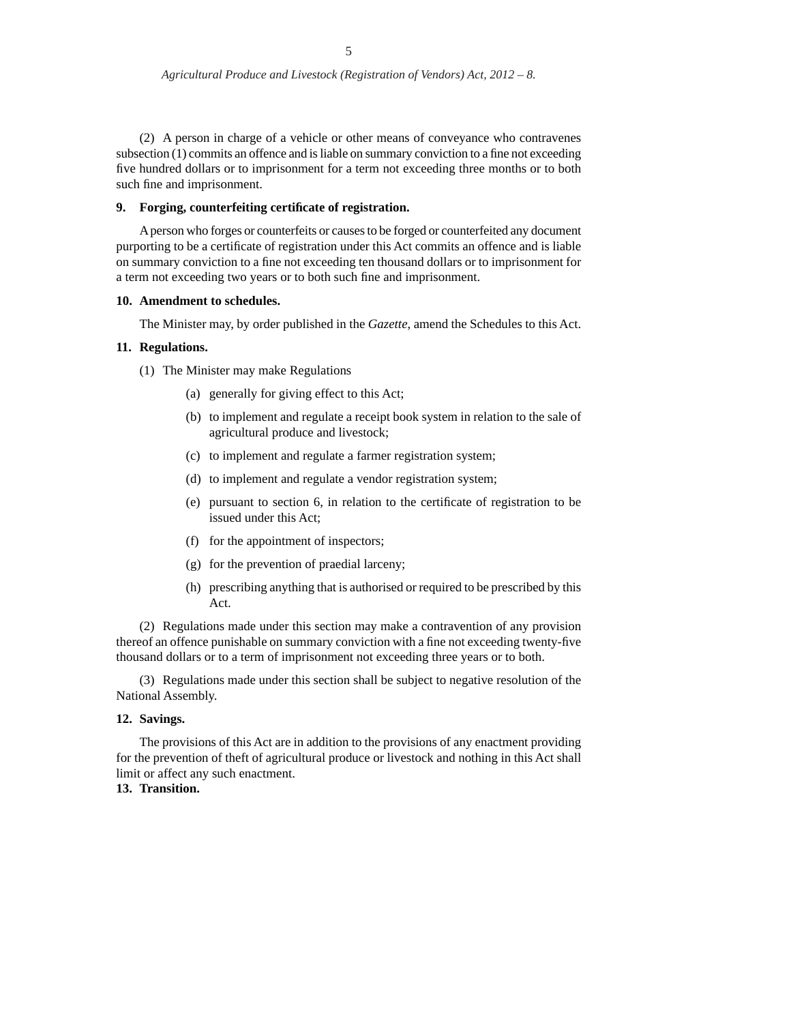(2) A person in charge of a vehicle or other means of conveyance who contravenes subsection  $(1)$  commits an offence and is liable on summary conviction to a fine not exceeding five hundred dollars or to imprisonment for a term not exceeding three months or to both such fine and imprisonment.

## **9.** Forging, counterfeiting certificate of registration.

A person who forges or counterfeits or causes to be forged or counterfeited any document purporting to be a certificate of registration under this Act commits an offence and is liable on summary conviction to a fine not exceeding ten thousand dollars or to imprisonment for a term not exceeding two years or to both such fine and imprisonment.

## **10. Amendment to schedules.**

The Minister may, by order published in the *Gazette*, amend the Schedules to this Act.

#### **11. Regulations.**

- (1) The Minister may make Regulations
	- (a) generally for giving effect to this Act;
	- (b) to implement and regulate a receipt book system in relation to the sale of agricultural produce and livestock;
	- (c) to implement and regulate a farmer registration system;
	- (d) to implement and regulate a vendor registration system;
	- (e) pursuant to section 6, in relation to the certificate of registration to be issued under this Act;
	- (f) for the appointment of inspectors;
	- (g) for the prevention of praedial larceny;
	- (h) prescribing anything that is authorised or required to be prescribed by this Act.

(2) Regulations made under this section may make a contravention of any provision thereof an offence punishable on summary conviction with a fine not exceeding twenty-five thousand dollars or to a term of imprisonment not exceeding three years or to both.

(3) Regulations made under this section shall be subject to negative resolution of the National Assembly.

# **12. Savings.**

The provisions of this Act are in addition to the provisions of any enactment providing for the prevention of theft of agricultural produce or livestock and nothing in this Act shall limit or affect any such enactment.

# **13. Transition.**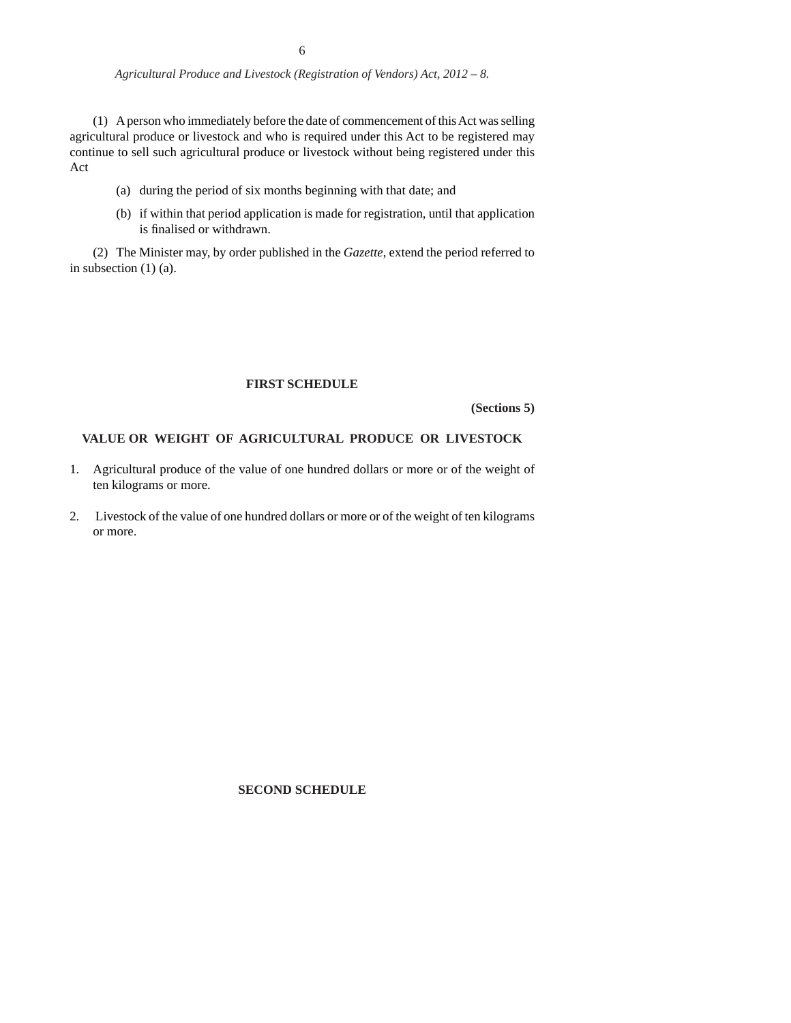(1) A person who immediately before the date of commencement of this Act was selling agricultural produce or livestock and who is required under this Act to be registered may continue to sell such agricultural produce or livestock without being registered under this Act

- (a) during the period of six months beginning with that date; and
- (b) if within that period application is made for registration, until that application is finalised or withdrawn.

(2) The Minister may, by order published in the *Gazette*, extend the period referred to in subsection (1) (a).

# **FIRST SCHEDULE**

**(Sections 5)**

# **VALUE OR WEIGHT OF AGRICULTURAL PRODUCE OR LIVESTOCK**

- 1. Agricultural produce of the value of one hundred dollars or more or of the weight of ten kilograms or more.
- 2. Livestock of the value of one hundred dollars or more or of the weight of ten kilograms or more.

**SECOND SCHEDULE**